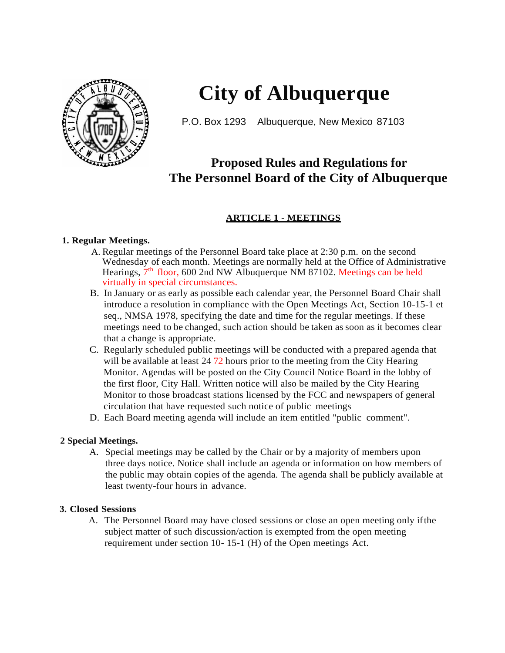

## **City of Albuquerque**

P.O. Box 1293 Albuquerque, New Mexico 87103

### **Proposed Rules and Regulations for The Personnel Board of the City of Albuquerque**

### **ARTICLE 1** - **MEETINGS**

#### **1. Regular Meetings.**

- A. Regular meetings of the Personnel Board take place at 2:30 p.m. on the second Wednesday of each month. Meetings are normally held at the Office of Administrative Hearings, 7<sup>th</sup> floor, 600 2nd NW Albuquerque NM 87102. Meetings can be held virtually in special circumstances.
- B. In January or as early as possible each calendar year, the Personnel Board Chair shall introduce a resolution in compliance with the Open Meetings Act, Section 10-15-1 et seq., NMSA 1978, specifying the date and time for the regular meetings. If these meetings need to be changed, such action should be taken as soon as it becomes clear that a change is appropriate.
- C. Regularly scheduled public meetings will be conducted with a prepared agenda that will be available at least  $2472$  hours prior to the meeting from the City Hearing Monitor. Agendas will be posted on the City Council Notice Board in the lobby of the first floor, City Hall. Written notice will also be mailed by the City Hearing Monitor to those broadcast stations licensed by the FCC and newspapers of general circulation that have requested such notice of public meetings
- D. Each Board meeting agenda will include an item entitled "public comment".

#### **2 Special Meetings.**

A. Special meetings may be called by the Chair or by a majority of members upon three days notice. Notice shall include an agenda or information on how members of the public may obtain copies of the agenda. The agenda shall be publicly available at least twenty-four hours in advance.

#### **3. Closed Sessions**

A. The Personnel Board may have closed sessions or close an open meeting only ifthe subject matter of such discussion/action is exempted from the open meeting requirement under section 10- 15-1 (H) of the Open meetings Act.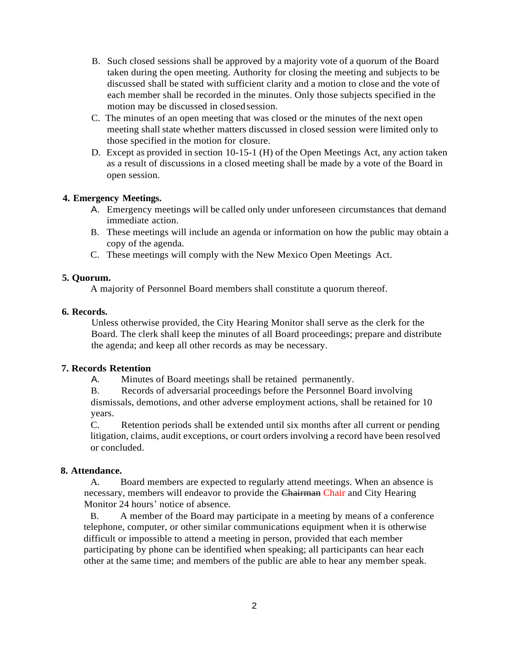- B. Such closed sessions shall be approved by a majority vote of a quorum of the Board taken during the open meeting. Authority for closing the meeting and subjects to be discussed shall be stated with sufficient clarity and a motion to close and the vote of each member shall be recorded in the minutes. Only those subjects specified in the motion may be discussed in closed session.
- C. The minutes of an open meeting that was closed or the minutes of the next open meeting shall state whether matters discussed in closed session were limited only to those specified in the motion for closure.
- D. Except as provided in section 10-15-1 (H) of the Open Meetings Act, any action taken as a result of discussions in a closed meeting shall be made by a vote of the Board in open session.

#### **4. Emergency Meetings.**

- A. Emergency meetings will be called only under unforeseen circumstances that demand immediate action.
- B. These meetings will include an agenda or information on how the public may obtain a copy of the agenda.
- C. These meetings will comply with the New Mexico Open Meetings Act.

#### **5. Quorum.**

A majority of Personnel Board members shall constitute a quorum thereof.

#### **6. Records.**

Unless otherwise provided, the City Hearing Monitor shall serve as the clerk for the Board. The clerk shall keep the minutes of all Board proceedings; prepare and distribute the agenda; and keep all other records as may be necessary.

#### **7. Records Retention**

A. Minutes of Board meetings shall be retained permanently.

B. Records of adversarial proceedings before the Personnel Board involving dismissals, demotions, and other adverse employment actions, shall be retained for 10 years.

C. Retention periods shall be extended until six months after all current or pending litigation, claims, audit exceptions, or court orders involving a record have been resolved or concluded.

#### **8. Attendance.**

A. Board members are expected to regularly attend meetings. When an absence is necessary, members will endeavor to provide the Chairman Chair and City Hearing Monitor 24 hours' notice of absence.

B. A member of the Board may participate in a meeting by means of a conference telephone, computer, or other similar communications equipment when it is otherwise difficult or impossible to attend a meeting in person, provided that each member participating by phone can be identified when speaking; all participants can hear each other at the same time; and members of the public are able to hear any member speak.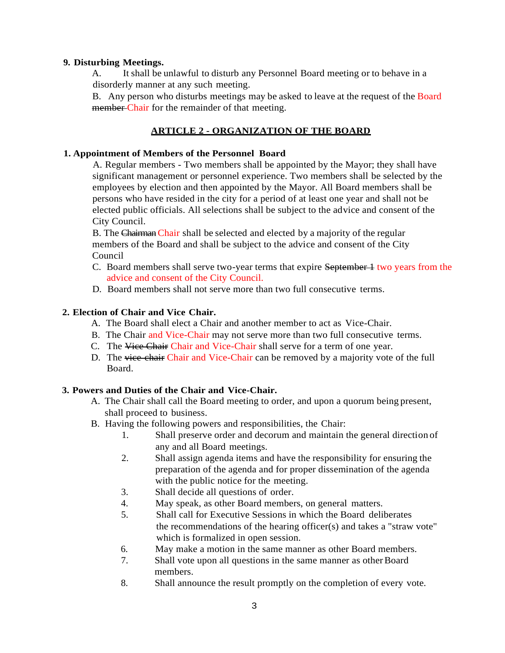#### **9. Disturbing Meetings.**

A. It shall be unlawful to disturb any Personnel Board meeting or to behave in a disorderly manner at any such meeting.

B. Any person who disturbs meetings may be asked to leave at the request of the Board member Chair for the remainder of that meeting.

#### **ARTICLE 2 - ORGANIZATION OF THE BOARD**

#### **1. Appointment of Members of the Personnel Board**

A. Regular members - Two members shall be appointed by the Mayor; they shall have significant management or personnel experience. Two members shall be selected by the employees by election and then appointed by the Mayor. All Board members shall be persons who have resided in the city for a period of at least one year and shall not be elected public officials. All selections shall be subject to the advice and consent of the City Council.

B. The Chairman Chair shall be selected and elected by a majority of the regular members of the Board and shall be subject to the advice and consent of the City Council

- C. Board members shall serve two-year terms that expire September 1 two years from the advice and consent of the City Council.
- D. Board members shall not serve more than two full consecutive terms.

#### **2. Election of Chair and Vice Chair.**

- A. The Board shall elect a Chair and another member to act as Vice-Chair.
- B. The Chair and Vice-Chair may not serve more than two full consecutive terms.
- C. The Vice Chair Chair and Vice-Chair shall serve for a term of one year.
- D. The vice-chair Chair and Vice-Chair can be removed by a majority vote of the full Board.

#### **3. Powers and Duties of the Chair and Vice-Chair.**

- A. The Chair shall call the Board meeting to order, and upon a quorum being present, shall proceed to business.
- B. Having the following powers and responsibilities, the Chair:
	- 1. Shall preserve order and decorum and maintain the general direction of any and all Board meetings.
	- 2. Shall assign agenda items and have the responsibility for ensuring the preparation of the agenda and for proper dissemination of the agenda with the public notice for the meeting.
	- 3. Shall decide all questions of order.
	- 4. May speak, as other Board members, on general matters.
	- 5. Shall call for Executive Sessions in which the Board deliberates the recommendations of the hearing officer(s) and takes a "straw vote" which is formalized in open session.
	- 6. May make a motion in the same manner as other Board members.
	- 7. Shall vote upon all questions in the same manner as other Board members.
	- 8. Shall announce the result promptly on the completion of every vote.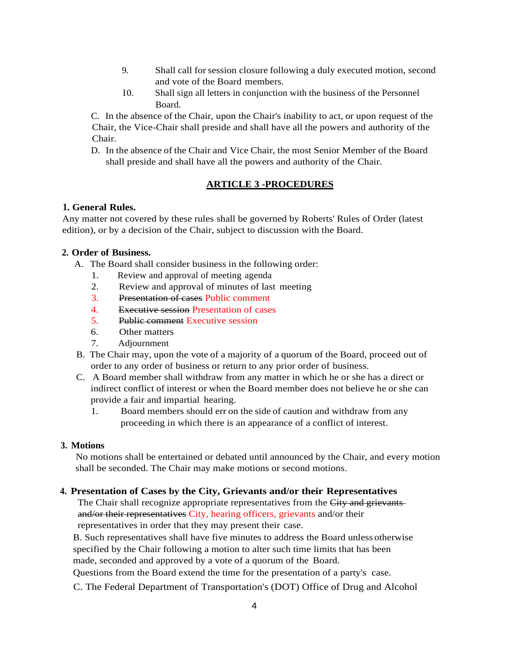- 9. Shall call forsession closure following a duly executed motion, second and vote of the Board members.
- I0. Shall sign all letters in conjunction with the business of the Personnel Board.

C. In the absence of the Chair, upon the Chair's inability to act, or upon request of the Chair, the Vice-Chair shall preside and shall have all the powers and authority of the Chair.

D. In the absence of the Chair and Vice Chair, the most Senior Member of the Board shall preside and shall have all the powers and authority of the Chair.

#### **ARTICLE 3 -PROCEDURES**

#### **1. General Rules.**

Any matter not covered by these rules shall be governed by Roberts' Rules of Order (latest edition), or by a decision of the Chair, subject to discussion with the Board.

#### **2. Order of Business.**

- A. The Board shall consider business in the following order:
	- 1. Review and approval of meeting agenda
	- 2. Review and approval of minutes of last meeting
	- 3. Presentation of cases Public comment
	- 4. Executive session Presentation of cases
	- 5. Public comment Executive session
	- 6. Other matters
	- 7. Adjournment
- B. The Chair may, upon the vote of a majority of a quorum of the Board, proceed out of order to any order of business or return to any prior order of business.
- C. A Board member shall withdraw from any matter in which he or she has a direct or indirect conflict of interest or when the Board member does not believe he or she can provide a fair and impartial hearing.
	- 1. Board members should err on the side of caution and withdraw from any proceeding in which there is an appearance of a conflict of interest.

#### **3. Motions**

No motions shall be entertained or debated until announced by the Chair, and every motion shall be seconded. The Chair may make motions or second motions.

#### **4. Presentation of Cases by the City, Grievants and/or their Representatives**

The Chair shall recognize appropriate representatives from the City and grievantsand/or their representatives City, hearing officers, grievants and/or their representatives in order that they may present their case.

B. Such representatives shall have five minutes to address the Board unless otherwise specified by the Chair following a motion to alter such time limits that has been made, seconded and approved by a vote of a quorum of the Board.

Questions from the Board extend the time for the presentation of a party's case.

C. The Federal Department of Transportation's (DOT) Office of Drug and Alcohol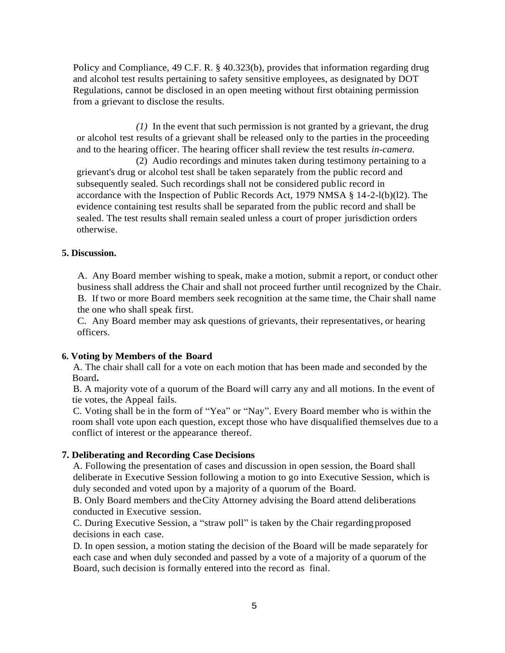Policy and Compliance, 49 C.F. R. § 40.323(b), provides that information regarding drug and alcohol test results pertaining to safety sensitive employees, as designated by DOT Regulations, cannot be disclosed in an open meeting without first obtaining permission from a grievant to disclose the results.

*(1)* In the event that such permission is not granted by a grievant, the drug or alcohol test results of a grievant shall be released only to the parties in the proceeding and to the hearing officer. The hearing officer shall review the test results *in-camera.*

(2) Audio recordings and minutes taken during testimony pertaining to a grievant's drug or alcohol test shall be taken separately from the public record and subsequently sealed. Such recordings shall not be considered public record in accordance with the Inspection of Public Records Act, 1979 NMSA § 14-2-l(b)(l2). The evidence containing test results shall be separated from the public record and shall be sealed. The test results shall remain sealed unless a court of proper jurisdiction orders otherwise.

#### **5. Discussion.**

A. Any Board member wishing to speak, make a motion, submit a report, or conduct other business shall address the Chair and shall not proceed further until recognized by the Chair. B. If two or more Board members seek recognition at the same time, the Chair shall name the one who shall speak first.

C. Any Board member may ask questions of grievants, their representatives, or hearing officers.

#### **6. Voting by Members of the Board**

A. The chair shall call for a vote on each motion that has been made and seconded by the Board**.**

B. A majority vote of a quorum of the Board will carry any and all motions. In the event of tie votes, the Appeal fails.

C. Voting shall be in the form of "Yea" or "Nay". Every Board member who is within the room shall vote upon each question, except those who have disqualified themselves due to a conflict of interest or the appearance thereof.

#### **7. Deliberating and Recording Case Decisions**

A. Following the presentation of cases and discussion in open session, the Board shall deliberate in Executive Session following a motion to go into Executive Session, which is duly seconded and voted upon by a majority of a quorum of the Board.

B. Only Board members and theCity Attorney advising the Board attend deliberations conducted in Executive session.

C. During Executive Session, a "straw poll" is taken by the Chair regarding proposed decisions in each case.

D. In open session, a motion stating the decision of the Board will be made separately for each case and when duly seconded and passed by a vote of a majority of a quorum of the Board, such decision is formally entered into the record as final.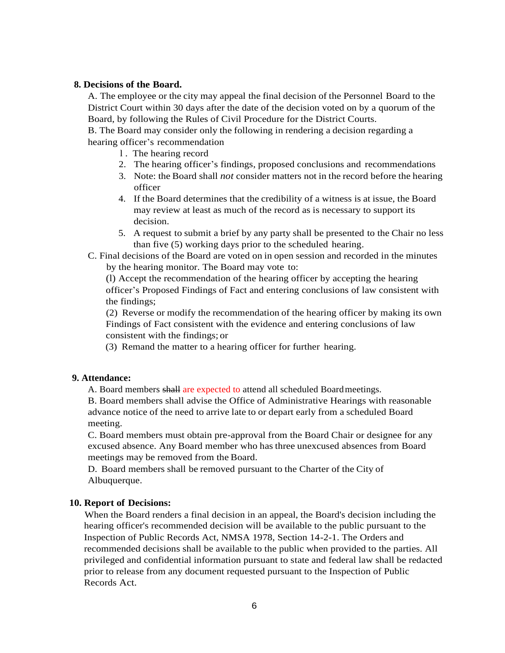#### **8. Decisions of the Board.**

A. The employee or the city may appeal the final decision of the Personnel Board to the District Court within 30 days after the date of the decision voted on by a quorum of the Board, by following the Rules of Civil Procedure for the District Courts.

B. The Board may consider only the following in rendering a decision regarding a hearing officer's recommendation

- l . The hearing record
- 2. The hearing officer's findings, proposed conclusions and recommendations
- 3. Note: the Board shall *not* consider matters not in the record before the hearing officer
- 4. If the Board determines that the credibility of a witness is at issue, the Board may review at least as much of the record as is necessary to support its decision.
- 5. A request to submit a brief by any party shall be presented to the Chair no less than five (5) working days prior to the scheduled hearing.
- C. Final decisions of the Board are voted on in open session and recorded in the minutes by the hearing monitor. The Board may vote to:

(l) Accept the recommendation of the hearing officer by accepting the hearing officer's Proposed Findings of Fact and entering conclusions of law consistent with the findings;

(2) Reverse or modify the recommendation of the hearing officer by making its own Findings of Fact consistent with the evidence and entering conclusions of law consistent with the findings; or

(3) Remand the matter to a hearing officer for further hearing.

#### **9. Attendance:**

A. Board members shall are expected to attend all scheduled Boardmeetings.

B. Board members shall advise the Office of Administrative Hearings with reasonable advance notice of the need to arrive late to or depart early from a scheduled Board meeting.

C. Board members must obtain pre-approval from the Board Chair or designee for any excused absence. Any Board member who has three unexcused absences from Board meetings may be removed from the Board.

D. Board members shall be removed pursuant to the Charter of the City of Albuquerque.

#### **10. Report of Decisions:**

When the Board renders a final decision in an appeal, the Board's decision including the hearing officer's recommended decision will be available to the public pursuant to the Inspection of Public Records Act, NMSA 1978, Section 14-2-1. The Orders and recommended decisions shall be available to the public when provided to the parties. All privileged and confidential information pursuant to state and federal law shall be redacted prior to release from any document requested pursuant to the Inspection of Public Records Act.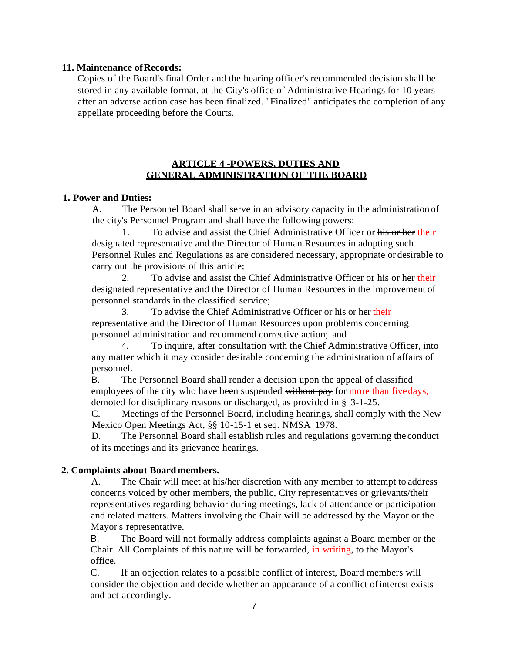#### **11. Maintenance ofRecords:**

Copies of the Board's final Order and the hearing officer's recommended decision shall be stored in any available format, at the City's office of Administrative Hearings for 10 years after an adverse action case has been finalized. "Finalized" anticipates the completion of any appellate proceeding before the Courts.

#### **ARTICLE 4 -POWERS, DUTIES AND GENERAL ADMINISTRATION OF THE BOARD**

#### **1. Power and Duties:**

A. The Personnel Board shall serve in an advisory capacity in the administration of the city's Personnel Program and shall have the following powers:

1. To advise and assist the Chief Administrative Officer or his or her their designated representative and the Director of Human Resources in adopting such Personnel Rules and Regulations as are considered necessary, appropriate or desirable to carry out the provisions of this article;

2. To advise and assist the Chief Administrative Officer or his or her their designated representative and the Director of Human Resources in the improvement of personnel standards in the classified service;

3. To advise the Chief Administrative Officer or his or her their representative and the Director of Human Resources upon problems concerning personnel administration and recommend corrective action; and

4. To inquire, after consultation with the Chief Administrative Officer, into any matter which it may consider desirable concerning the administration of affairs of personnel.

B. The Personnel Board shall render a decision upon the appeal of classified employees of the city who have been suspended without pay for more than fivedays, demoted for disciplinary reasons or discharged, as provided in § 3-1-25.

C. Meetings of the Personnel Board, including hearings, shall comply with the New Mexico Open Meetings Act, §§ 10-15-1 et seq. NMSA 1978.

D. The Personnel Board shall establish rules and regulations governing the conduct of its meetings and its grievance hearings.

#### **2. Complaints about Boardmembers.**

A. The Chair will meet at his/her discretion with any member to attempt to address concerns voiced by other members, the public, City representatives or grievants/their representatives regarding behavior during meetings, lack of attendance or participation and related matters. Matters involving the Chair will be addressed by the Mayor or the Mayor's representative.

B. The Board will not formally address complaints against a Board member or the Chair. All Complaints of this nature will be forwarded, in writing, to the Mayor's office.

C. If an objection relates to a possible conflict of interest, Board members will consider the objection and decide whether an appearance of a conflict ofinterest exists and act accordingly.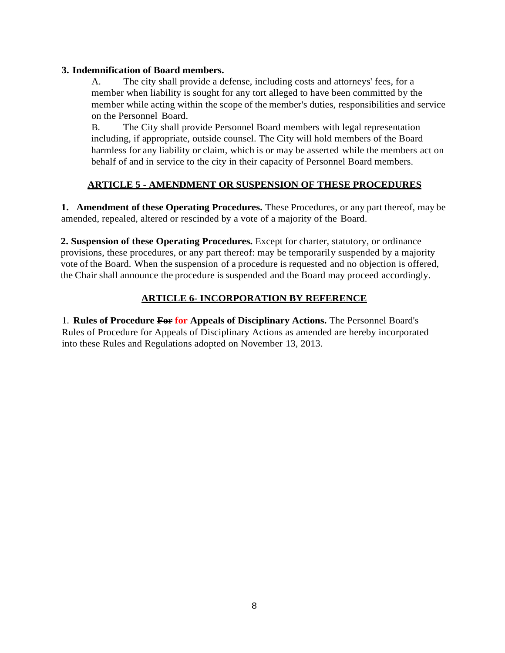#### **3. Indemnification of Board members.**

A. The city shall provide a defense, including costs and attorneys' fees, for a member when liability is sought for any tort alleged to have been committed by the member while acting within the scope of the member's duties, responsibilities and service on the Personnel Board.

B. The City shall provide Personnel Board members with legal representation including, if appropriate, outside counsel. The City will hold members of the Board harmless for any liability or claim, which is or may be asserted while the members act on behalf of and in service to the city in their capacity of Personnel Board members.

#### **ARTICLE 5 - AMENDMENT OR SUSPENSION OF THESE PROCEDURES**

**1. Amendment of these Operating Procedures.** These Procedures, or any part thereof, may be amended, repealed, altered or rescinded by a vote of a majority of the Board.

**2. Suspension of these Operating Procedures.** Except for charter, statutory, or ordinance provisions, these procedures, or any part thereof: may be temporarily suspended by a majority vote of the Board. When the suspension of a procedure is requested and no objection is offered, the Chair shall announce the procedure is suspended and the Board may proceed accordingly.

#### **ARTICLE 6- INCORPORATION BY REFERENCE**

1. **Rules of Procedure For for Appeals of Disciplinary Actions.** The Personnel Board's Rules of Procedure for Appeals of Disciplinary Actions as amended are hereby incorporated into these Rules and Regulations adopted on November 13, 2013.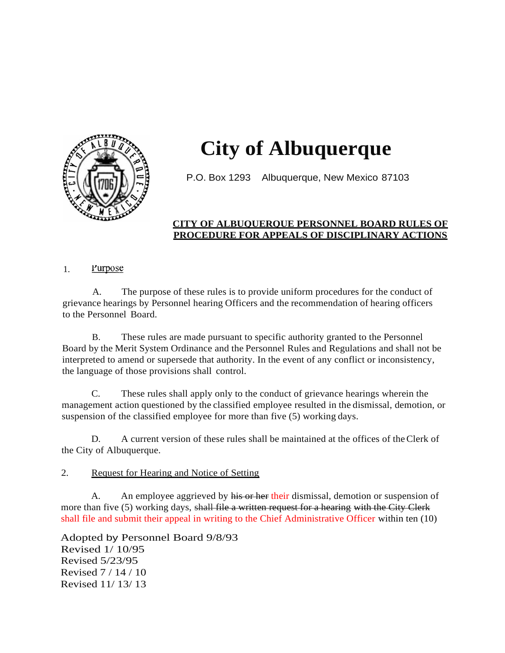

# **City of Albuquerque**

P.O. Box 1293 Albuquerque, New Mexico 87103

#### **CITY OF ALBUQUERQUE PERSONNEL BOARD RULES OF PROCEDURE FOR APPEALS OF DISCIPLINARY ACTIONS**

#### 1. Purpose

A. The purpose of these rules is to provide uniform procedures for the conduct of grievance hearings by Personnel hearing Officers and the recommendation of hearing officers to the Personnel Board.

B. These rules are made pursuant to specific authority granted to the Personnel Board by the Merit System Ordinance and the Personnel Rules and Regulations and shall not be interpreted to amend or supersede that authority. In the event of any conflict or inconsistency, the language of those provisions shall control.

C. These rules shall apply only to the conduct of grievance hearings wherein the management action questioned by the classified employee resulted in the dismissal, demotion, or suspension of the classified employee for more than five (5) working days.

D. A current version of these rules shall be maintained at the offices of theClerk of the City of Albuquerque.

#### 2. Request for Hearing and Notice of Setting

A. An employee aggrieved by his or her their dismissal, demotion or suspension of more than five (5) working days, shall file a written request for a hearing with the City Clerk shall file and submit their appeal in writing to the Chief Administrative Officer within ten (10)

Adopted by Personnel Board 9/8/93 Revised 1/ 10/95 Revised 5/23/95 Revised 7 / 14 / 10 Revised 11/ 13/ 13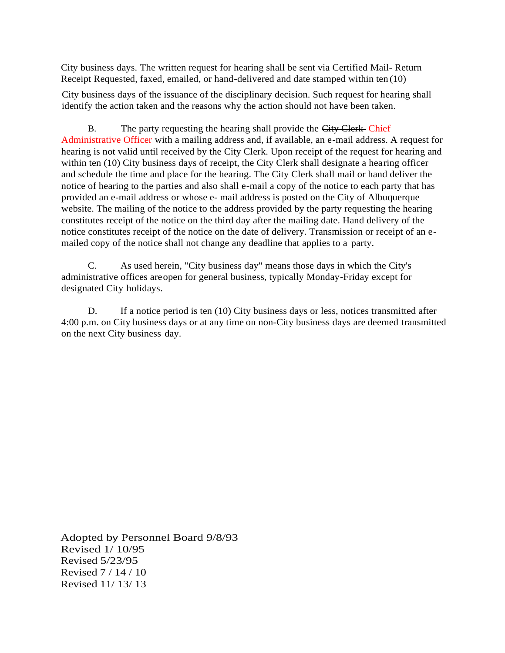City business days. The written request for hearing shall be sent via Certified Mail- Return Receipt Requested, faxed, emailed, or hand-delivered and date stamped within ten (10)

City business days of the issuance of the disciplinary decision. Such request for hearing shall identify the action taken and the reasons why the action should not have been taken.

B. The party requesting the hearing shall provide the City Clerk-Chief Administrative Officer with a mailing address and, if available, an e-mail address. A request for hearing is not valid until received by the City Clerk. Upon receipt of the request for hearing and within ten (10) City business days of receipt, the City Clerk shall designate a hearing officer and schedule the time and place for the hearing. The City Clerk shall mail or hand deliver the notice of hearing to the parties and also shall e-mail a copy of the notice to each party that has provided an e-mail address or whose e- mail address is posted on the City of Albuquerque website. The mailing of the notice to the address provided by the party requesting the hearing constitutes receipt of the notice on the third day after the mailing date. Hand delivery of the notice constitutes receipt of the notice on the date of delivery. Transmission or receipt of an emailed copy of the notice shall not change any deadline that applies to a party.

C. As used herein, "City business day" means those days in which the City's administrative offices areopen for general business, typically Monday-Friday except for designated City holidays.

D. If a notice period is ten (10) City business days or less, notices transmitted after 4:00 p.m. on City business days or at any time on non-City business days are deemed transmitted on the next City business day.

Adopted by Personnel Board 9/8/93 Revised 1/ 10/95 Revised 5/23/95 Revised 7 / 14 / 10 Revised 11/ 13/ 13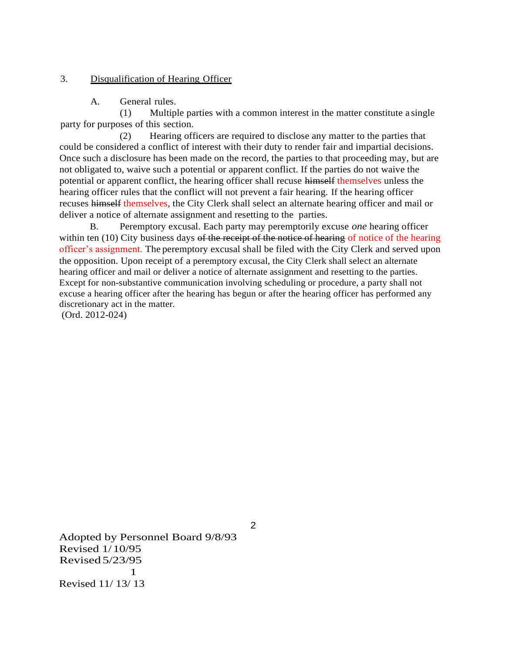#### 3. Disqualification of Hearing Officer

A. General rules.

(1) Multiple parties with a common interest in the matter constitute a single party for purposes of this section.

(2) Hearing officers are required to disclose any matter to the parties that could be considered a conflict of interest with their duty to render fair and impartial decisions. Once such a disclosure has been made on the record, the parties to that proceeding may, but are not obligated to, waive such a potential or apparent conflict. If the parties do not waive the potential or apparent conflict, the hearing officer shall recuse himself themselves unless the hearing officer rules that the conflict will not prevent a fair hearing. If the hearing officer recuses himself themselves, the City Clerk shall select an alternate hearing officer and mail or deliver a notice of alternate assignment and resetting to the parties.

B. Peremptory excusal. Each party may peremptorily excuse *one* hearing officer within ten (10) City business days of the receipt of the notice of hearing of notice of the hearing officer's assignment. The peremptory excusal shall be filed with the City Clerk and served upon the opposition. Upon receipt of a peremptory excusal, the City Clerk shall select an alternate hearing officer and mail or deliver a notice of alternate assignment and resetting to the parties. Except for non-substantive communication involving scheduling or procedure, a party shall not excuse a hearing officer after the hearing has begun or after the hearing officer has performed any discretionary act in the matter.

(Ord. 2012-024)

Adopted by Personnel Board 9/8/93 Revised 1/10/95 Revised 5/23/95 1 Revised 11/ 13/ 13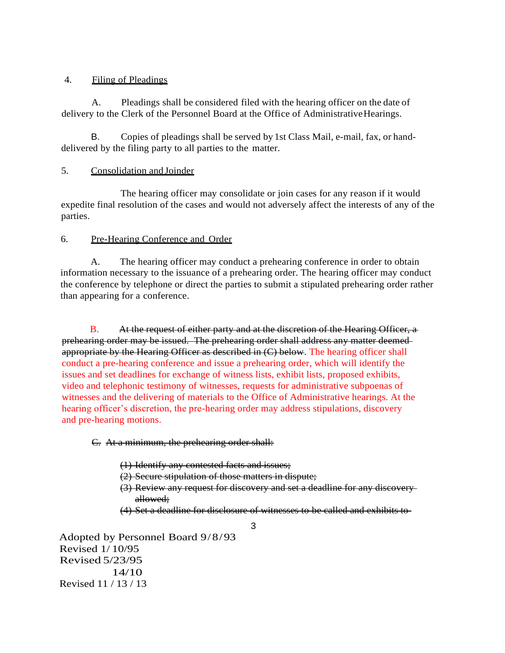#### 4. Filing of Pleadings

A. Pleadings shall be considered filed with the hearing officer on the date of delivery to the Clerk of the Personnel Board at the Office of AdministrativeHearings.

B. Copies of pleadings shall be served by 1st Class Mail, e-mail, fax, or handdelivered by the filing party to all parties to the matter.

#### 5. Consolidation and Joinder

The hearing officer may consolidate or join cases for any reason if it would expedite final resolution of the cases and would not adversely affect the interests of any of the parties.

#### 6. Pre-Hearing Conference and Order

A. The hearing officer may conduct a prehearing conference in order to obtain information necessary to the issuance of a prehearing order. The hearing officer may conduct the conference by telephone or direct the parties to submit a stipulated prehearing order rather than appearing for a conference.

 B. At the request of either party and at the discretion of the Hearing Officer, a prehearing order may be issued. The prehearing order shall address any matter deemed appropriate by the Hearing Officer as described in (C) below. The hearing officer shall conduct a pre-hearing conference and issue a prehearing order, which will identify the issues and set deadlines for exchange of witness lists, exhibit lists, proposed exhibits, video and telephonic testimony of witnesses, requests for administrative subpoenas of witnesses and the delivering of materials to the Office of Administrative hearings. At the hearing officer's discretion, the pre-hearing order may address stipulations, discovery and pre-hearing motions.

C. At a minimum, the prehearing order shall:

- (1) Identify any contested facts and issues;
- (2) Secure stipulation of those matters in dispute;
- (3) Review any request for discovery and set a deadline for any discovery allowed;
- (4) Set a deadline for disclosure of witnesses to be called and exhibits to

3

Adopted by Personnel Board 9/8/93 Revised 1/ 10/95 Revised 5/23/95 14/10 Revised 11 / 13 / 13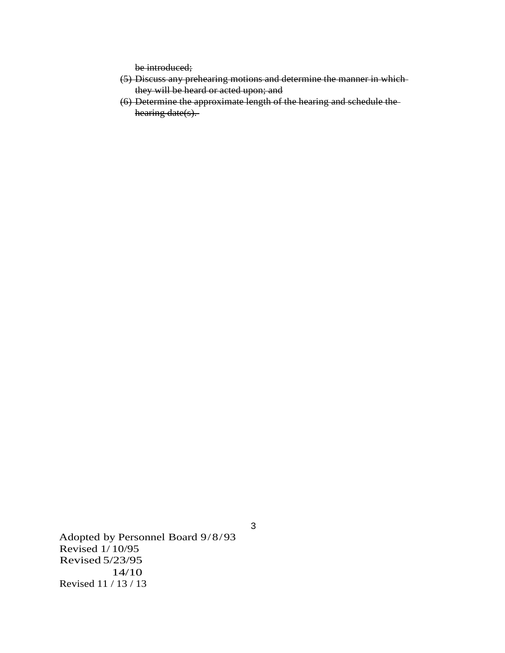be introduced;

- (5) Discuss any prehearing motions and determine the manner in which they will be heard or acted upon; and
- (6) Determine the approximate length of the hearing and schedule the hearing date(s).

Adopted by Personnel Board 9/8/93 Revised 1/ 10/95 Revised 5/23/95 14/10 Revised 11 / 13 / 13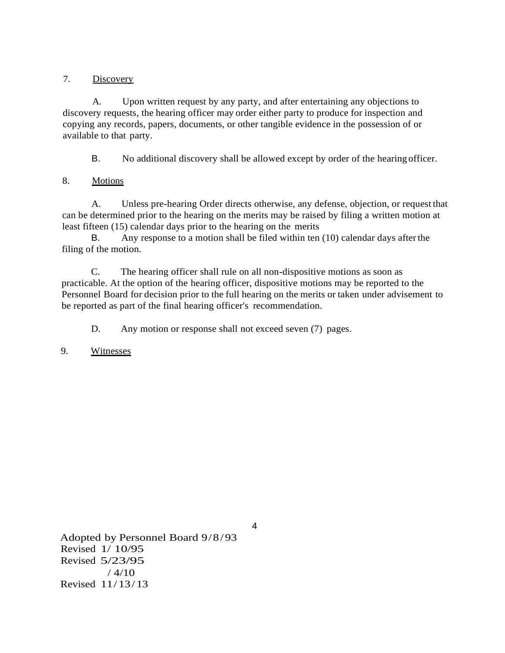#### 7. Discovery

A. Upon written request by any party, and after entertaining any objections to discovery requests, the hearing officer may order either party to produce for inspection and copying any records, papers, documents, or other tangible evidence in the possession of or available to that party.

B. No additional discovery shall be allowed except by order of the hearing officer.

#### 8. Motions

A. Unless pre-hearing Order directs otherwise, any defense, objection, or request that can be determined prior to the hearing on the merits may be raised by filing a written motion at least fifteen (15) calendar days prior to the hearing on the merits

B. Any response to a motion shall be filed within ten (10) calendar days afterthe filing of the motion.

C. The hearing officer shall rule on all non-dispositive motions as soon as practicable. At the option of the hearing officer, dispositive motions may be reported to the Personnel Board for decision prior to the full hearing on the merits or taken under advisement to be reported as part of the final hearing officer's recommendation.

D. Any motion or response shall not exceed seven (7) pages.

#### 9. Witnesses

Adopted by Personnel Board 9/8/93 Revised 1/ 10/95 Revised 5/23/95  $/ 4/10$ Revised 11/ 13/ 13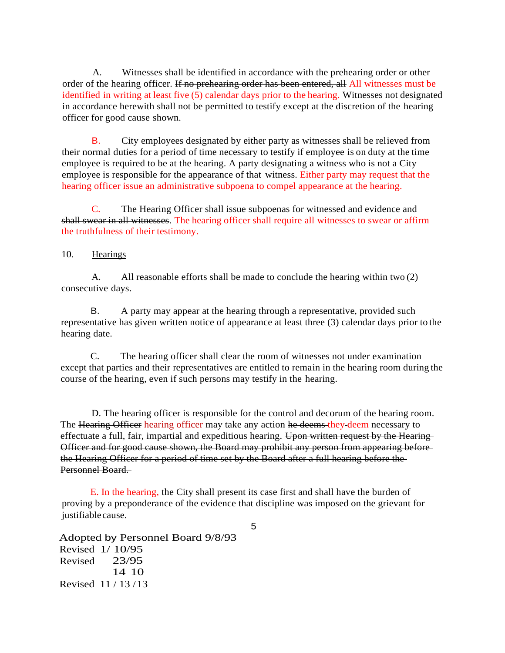A. Witnesses shall be identified in accordance with the prehearing order or other order of the hearing officer. If no prehearing order has been entered, all All witnesses must be identified in writing at least five (5) calendar days prior to the hearing. Witnesses not designated in accordance herewith shall not be permitted to testify except at the discretion of the hearing officer for good cause shown.

B. City employees designated by either party as witnesses shall be relieved from their normal duties for a period of time necessary to testify if employee is on duty at the time employee is required to be at the hearing. A party designating a witness who is not a City employee is responsible for the appearance of that witness. Either party may request that the hearing officer issue an administrative subpoena to compel appearance at the hearing.

C. The Hearing Officer shall issue subpoenas for witnessed and evidence and shall swear in all witnesses. The hearing officer shall require all witnesses to swear or affirm the truthfulness of their testimony.

#### 10. Hearings

A. All reasonable efforts shall be made to conclude the hearing within two (2) consecutive days.

B. A party may appear at the hearing through a representative, provided such representative has given written notice of appearance at least three (3) calendar days prior to the hearing date.

C. The hearing officer shall clear the room of witnesses not under examination except that parties and their representatives are entitled to remain in the hearing room during the course of the hearing, even if such persons may testify in the hearing.

D. The hearing officer is responsible for the control and decorum of the hearing room. The Hearing Officer hearing officer may take any action he deems they deem necessary to effectuate a full, fair, impartial and expeditious hearing. Upon written request by the Hearing-Officer and for good cause shown, the Board may prohibit any person from appearing before the Hearing Officer for a period of time set by the Board after a full hearing before the Personnel Board.

E. In the hearing, the City shall present its case first and shall have the burden of proving by a preponderance of the evidence that discipline was imposed on the grievant for justifiablecause.

Adopted by Personnel Board 9/8/93 Revised 1/ 10/95 Revised 23/95 14 10 Revised 11 / 13 /13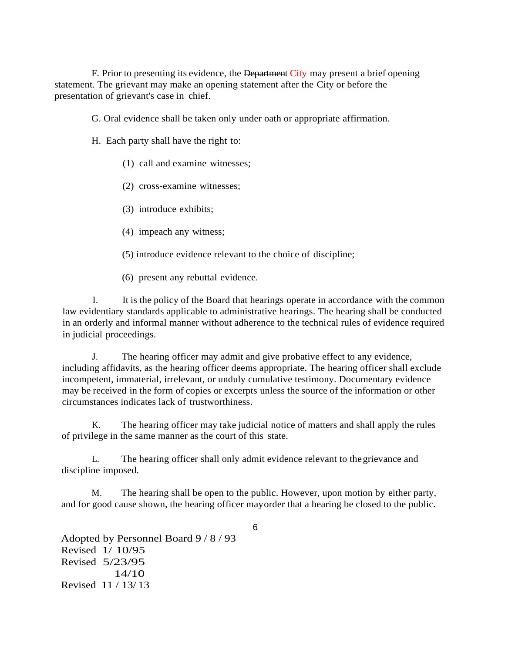F. Prior to presenting its evidence, the Department City may present a brief opening statement. The grievant may make an opening statement after the City or before the presentation of grievant's case in chief.

G. Oral evidence shall be taken only under oath or appropriate affirmation.

H. Each party shall have the right to:

- (1) call and examine witnesses;
- (2) cross-examine witnesses;
- (3) introduce exhibits;
- (4) impeach any witness;
- (5) introduce evidence relevant to the choice of discipline;
- (6) present any rebuttal evidence.

I. It is the policy of the Board that hearings operate in accordance with the common law evidentiary standards applicable to administrative hearings. The hearing shall be conducted in an orderly and informal manner without adherence to the technical rules of evidence required in judicial proceedings.

J. The hearing officer may admit and give probative effect to any evidence, including affidavits, as the hearing officer deems appropriate. The hearing officer shall exclude incompetent, immaterial, irrelevant, or unduly cumulative testimony. Documentary evidence may be received in the form of copies or excerpts unless the source of the information or other circumstances indicates lack of trustworthiness.

K. The hearing officer may take judicial notice of matters and shall apply the rules of privilege in the same manner as the court of this state.

L. The hearing officer shall only admit evidence relevant to thegrievance and discipline imposed.

M. The hearing shall be open to the public. However, upon motion by either party, and for good cause shown, the hearing officer mayorder that a hearing be closed to the public.

Adopted by Personnel Board 9 / 8 / 93 Revised 1/ 10/95 Revised 5/23/95 14/10 Revised 11 / 13/ 13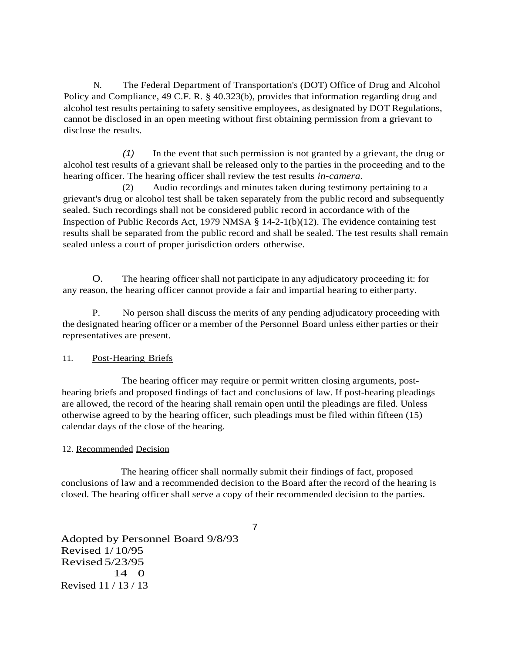N. The Federal Department of Transportation's (DOT) Office of Drug and Alcohol Policy and Compliance, 49 C.F. R. § 40.323(b), provides that information regarding drug and alcohol test results pertaining to safety sensitive employees, as designated by DOT Regulations, cannot be disclosed in an open meeting without first obtaining permission from a grievant to disclose the results.

*(1)* In the event that such permission is not granted by a grievant, the drug or alcohol test results of a grievant shall be released only to the parties in the proceeding and to the hearing officer. The hearing officer shall review the test results *in-camera.*

(2) Audio recordings and minutes taken during testimony pertaining to a grievant's drug or alcohol test shall be taken separately from the public record and subsequently sealed. Such recordings shall not be considered public record in accordance with of the Inspection of Public Records Act, 1979 NMSA § 14-2-1(b)(12). The evidence containing test results shall be separated from the public record and shall be sealed. The test results shall remain sealed unless a court of proper jurisdiction orders otherwise.

O. The hearing officer shall not participate in any adjudicatory proceeding it: for any reason, the hearing officer cannot provide a fair and impartial hearing to either party.

P. No person shall discuss the merits of any pending adjudicatory proceeding with the designated hearing officer or a member of the Personnel Board unless either parties or their representatives are present.

#### 11. Post-Hearing Briefs

The hearing officer may require or permit written closing arguments, posthearing briefs and proposed findings of fact and conclusions of law. If post-hearing pleadings are allowed, the record of the hearing shall remain open until the pleadings are filed. Unless otherwise agreed to by the hearing officer, such pleadings must be filed within fifteen (15) calendar days of the close of the hearing.

#### 12. Recommended Decision

The hearing officer shall normally submit their findings of fact, proposed conclusions of law and a recommended decision to the Board after the record of the hearing is closed. The hearing officer shall serve a copy of their recommended decision to the parties.

Adopted by Personnel Board 9/8/93 Revised 1/ 10/95 Revised 5/23/95 14 0 Revised 11 / 13 / 13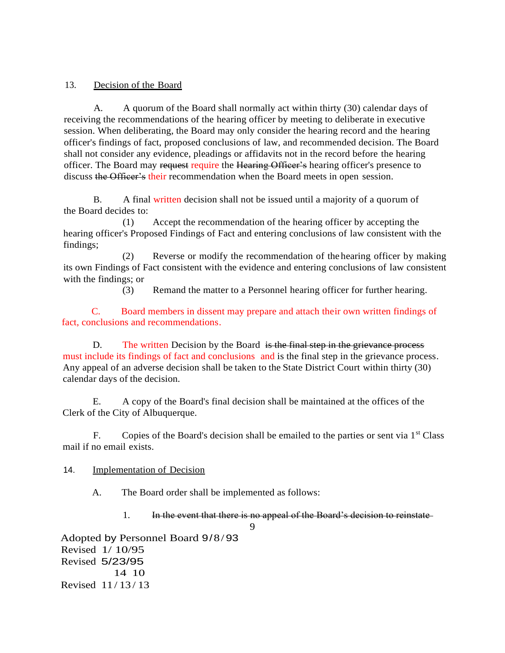#### 13. Decision of the Board

A. A quorum of the Board shall normally act within thirty (30) calendar days of receiving the recommendations of the hearing officer by meeting to deliberate in executive session. When deliberating, the Board may only consider the hearing record and the hearing officer's findings of fact, proposed conclusions of law, and recommended decision. The Board shall not consider any evidence, pleadings or affidavits not in the record before the hearing officer. The Board may request require the Hearing Officer's hearing officer's presence to discuss the Officer's their recommendation when the Board meets in open session.

B. A final written decision shall not be issued until a majority of a quorum of the Board decides to:

(1) Accept the recommendation of the hearing officer by accepting the hearing officer's Proposed Findings of Fact and entering conclusions of law consistent with the findings;

(2) Reverse or modify the recommendation of the hearing officer by making its own Findings of Fact consistent with the evidence and entering conclusions of law consistent with the findings; or

(3) Remand the matter to a Personnel hearing officer for further hearing.

C. Board members in dissent may prepare and attach their own written findings of fact, conclusions and recommendations.

D. The written Decision by the Board is the final step in the grievance process must include its findings of fact and conclusions and is the final step in the grievance process. Any appeal of an adverse decision shall be taken to the State District Court within thirty (30) calendar days of the decision.

E. A copy of the Board's final decision shall be maintained at the offices of the Clerk of the City of Albuquerque.

F. Copies of the Board's decision shall be emailed to the parties or sent via  $1<sup>st</sup>$  Class mail if no email exists.

14. Implementation of Decision

A. The Board order shall be implemented as follows:

1. In the event that there is no appeal of the Board's decision to reinstate

9

Adopted by Personnel Board 9/8/93 Revised 1/ 10/95 Revised 5/23/95 14 10 Revised 11 / 13 / 13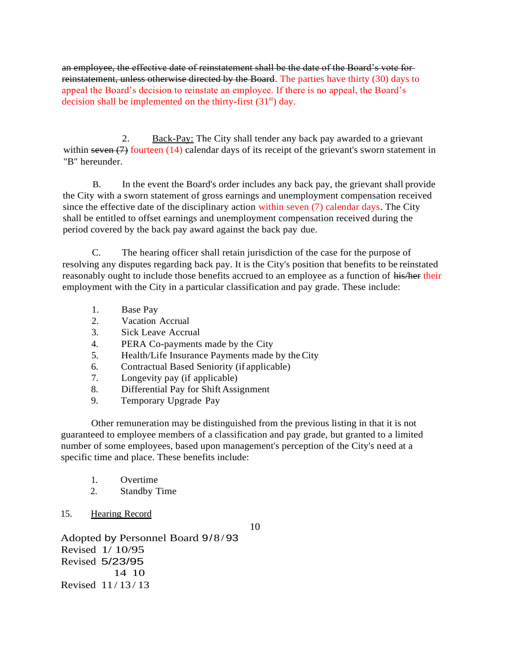an employee, the effective date of reinstatement shall be the date of the Board's vote for reinstatement, unless otherwise directed by the Board. The parties have thirty (30) days to appeal the Board's decision to reinstate an employee. If there is no appeal, the Board's decision shall be implemented on the thirty-first  $(31<sup>st</sup>)$  day.

2. Back-Pay: The City shall tender any back pay awarded to a grievant within seven (7) fourteen (14) calendar days of its receipt of the grievant's sworn statement in "B" hereunder.

B. In the event the Board's order includes any back pay, the grievant shall provide the City with a sworn statement of gross earnings and unemployment compensation received since the effective date of the disciplinary action within seven (7) calendar days. The City shall be entitled to offset earnings and unemployment compensation received during the period covered by the back pay award against the back pay due.

C. The hearing officer shall retain jurisdiction of the case for the purpose of resolving any disputes regarding back pay. It is the City's position that benefits to be reinstated reasonably ought to include those benefits accrued to an employee as a function of his/her their employment with the City in a particular classification and pay grade. These include:

- 1. Base Pay
- 2. Vacation Accrual
- 3. Sick Leave Accrual
- 4. PERA Co-payments made by the City
- 5. Health/Life Insurance Payments made by theCity
- 6. Contractual Based Seniority (if applicable)
- 7. Longevity pay (if applicable)
- 8. Differential Pay for Shift Assignment
- 9. Temporary Upgrade Pay

Other remuneration may be distinguished from the previous listing in that it is not guaranteed to employee members of a classification and pay grade, but granted to a limited number of some employees, based upon management's perception of the City's need at a specific time and place. These benefits include:

- 1. Overtime
- 2. Standby Time

#### 15. Hearing Record

10

Adopted by Personnel Board 9/8/93 Revised 1/ 10/95 Revised 5/23/95 14 10 Revised 11 / 13 / 13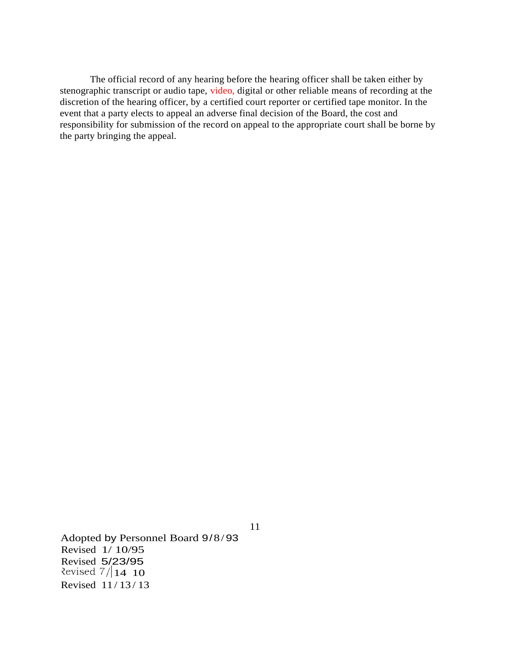The official record of any hearing before the hearing officer shall be taken either by stenographic transcript or audio tape, video, digital or other reliable means of recording at the discretion of the hearing officer, by a certified court reporter or certified tape monitor. In the event that a party elects to appeal an adverse final decision of the Board, the cost and responsibility for submission of the record on appeal to the appropriate court shall be borne by the party bringing the appeal.

Adopted by Personnel Board 9/8/93 Revised 1/ 10/95 Revised 5/23/95 Revised  $7/14$  10 Revised 11 / 13 / 13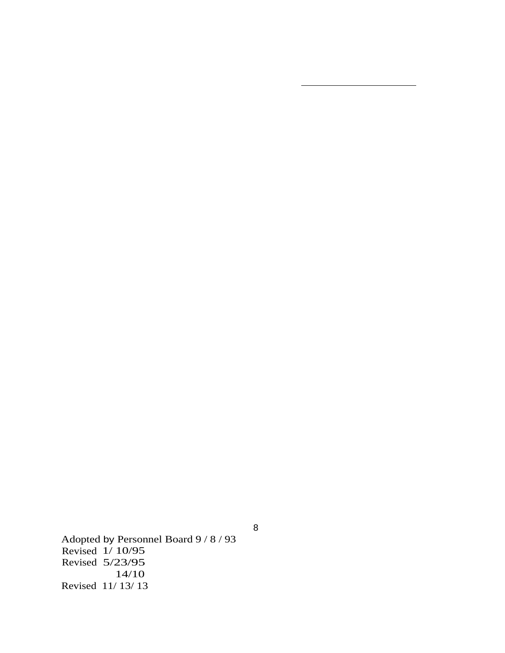Adopted by Personnel Board 9 / 8 / 93 Revised 1/ 10/95 Revised 5/23/95 14/10 Revised 11/ 13/ 13